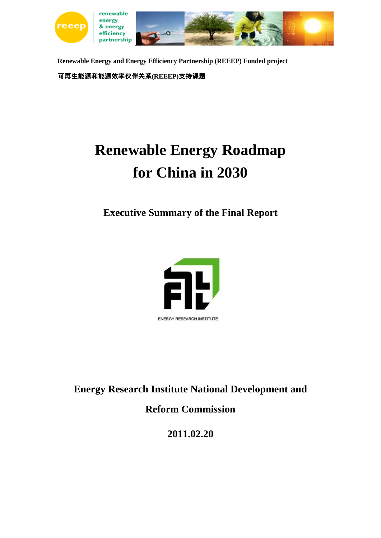

**Renewable Energy and Energy Efficiency Partnership (REEEP) Funded project** 可再生能源和能源效率伙伴关系**(REEEP)**支持课题

# **Renewable Energy Roadmap for China in 2030**

**Executive Summary of the Final Report**



**Energy Research Institute National Development and** 

**Reform Commission**

**2011.02.20**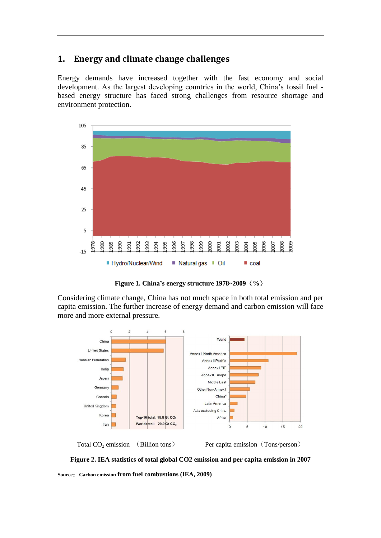# **1. Energy and climate change challenges**

Energy demands have increased together with the fast economy and social development. As the largest developing countries in the world, China's fossil fuel based energy structure has faced strong challenges from resource shortage and environment protection.



**Figure 1. China's energy structure 1978~2009**(**%**)

Considering climate change, China has not much space in both total emission and per capita emission. The further increase of energy demand and carbon emission will face more and more external pressure.



Total  $CO<sub>2</sub>$  emission (Billion tons) Per capita emission (Tons/person)

**Figure 2. IEA statistics of total global CO2 emission and per capita emission in 2007 Source**:**Carbon emission from fuel combustions (IEA, 2009)**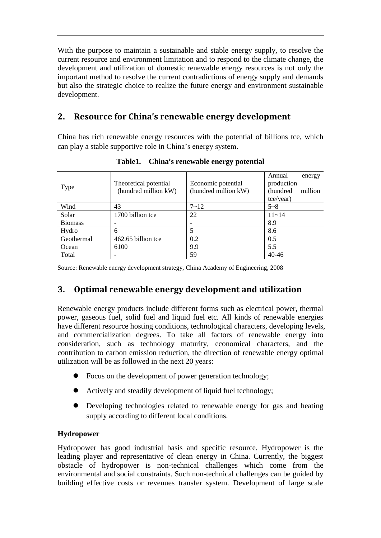With the purpose to maintain a sustainable and stable energy supply, to resolve the current resource and environment limitation and to respond to the climate change, the development and utilization of domestic renewable energy resources is not only the important method to resolve the current contradictions of energy supply and demands but also the strategic choice to realize the future energy and environment sustainable development.

# **2. Resource for China's renewable energy development**

China has rich renewable energy resources with the potential of billions tce, which can play a stable supportive role in China's energy system.

| Type           | Theoretical potential<br>(hundred million kW) | Economic potential<br>(hundred million kW) | Annual<br>energy<br>production<br>(hundred)<br>million<br>tce/year) |
|----------------|-----------------------------------------------|--------------------------------------------|---------------------------------------------------------------------|
| Wind           | 43                                            | $7 - 12$                                   | $5 - 8$                                                             |
| Solar          | 1700 billion tce                              | 22                                         | $11 - 14$                                                           |
| <b>Biomass</b> |                                               |                                            | 8.9                                                                 |
| Hydro          | 6                                             | 5                                          | 8.6                                                                 |
| Geothermal     | 462.65 billion tce                            | 0.2                                        | 0.5                                                                 |
| Ocean          | 6100                                          | 9.9                                        | 5.5                                                                 |
| Total          |                                               | 59                                         | $40 - 46$                                                           |

**Table1. China's renewable energy potential**

Source: Renewable energy development strategy, China Academy of Engineering, 2008

# **3. Optimal renewable energy development and utilization**

Renewable energy products include different forms such as electrical power, thermal power, gaseous fuel, solid fuel and liquid fuel etc. All kinds of renewable energies have different resource hosting conditions, technological characters, developing levels, and commercialization degrees. To take all factors of renewable energy into consideration, such as technology maturity, economical characters, and the contribution to carbon emission reduction, the direction of renewable energy optimal utilization will be as followed in the next 20 years:

- Focus on the development of power generation technology;
- Actively and steadily development of liquid fuel technology;
- Developing technologies related to renewable energy for gas and heating supply according to different local conditions.

# **Hydropower**

Hydropower has good industrial basis and specific resource. Hydropower is the leading player and representative of clean energy in China. Currently, the biggest obstacle of hydropower is non-technical challenges which come from the environmental and social constraints. Such non-technical challenges can be guided by building effective costs or revenues transfer system. Development of large scale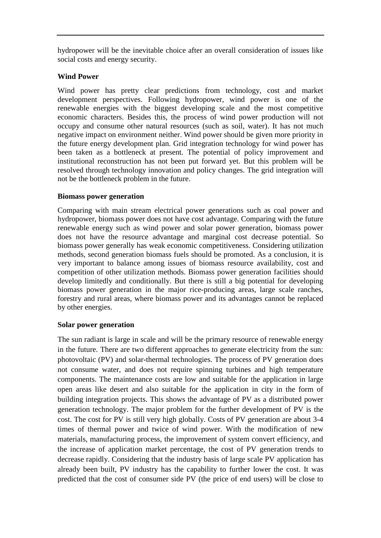hydropower will be the inevitable choice after an overall consideration of issues like social costs and energy security.

#### **Wind Power**

Wind power has pretty clear predictions from technology, cost and market development perspectives. Following hydropower, wind power is one of the renewable energies with the biggest developing scale and the most competitive economic characters. Besides this, the process of wind power production will not occupy and consume other natural resources (such as soil, water). It has not much negative impact on environment neither. Wind power should be given more priority in the future energy development plan. Grid integration technology for wind power has been taken as a bottleneck at present. The potential of policy improvement and institutional reconstruction has not been put forward yet. But this problem will be resolved through technology innovation and policy changes. The grid integration will not be the bottleneck problem in the future.

#### **Biomass power generation**

Comparing with main stream electrical power generations such as coal power and hydropower, biomass power does not have cost advantage. Comparing with the future renewable energy such as wind power and solar power generation, biomass power does not have the resource advantage and marginal cost decrease potential. So biomass power generally has weak economic competitiveness. Considering utilization methods, second generation biomass fuels should be promoted. As a conclusion, it is very important to balance among issues of biomass resource availability, cost and competition of other utilization methods. Biomass power generation facilities should develop limitedly and conditionally. But there is still a big potential for developing biomass power generation in the major rice-producing areas, large scale ranches, forestry and rural areas, where biomass power and its advantages cannot be replaced by other energies.

#### **Solar power generation**

The sun radiant is large in scale and will be the primary resource of renewable energy in the future. There are two different approaches to generate electricity from the sun: photovoltaic (PV) and solar-thermal technologies. The process of PV generation does not consume water, and does not require spinning turbines and high temperature components. The maintenance costs are low and suitable for the application in large open areas like desert and also suitable for the application in city in the form of building integration projects. This shows the advantage of PV as a distributed power generation technology. The major problem for the further development of PV is the cost. The cost for PV is still very high globally. Costs of PV generation are about 3-4 times of thermal power and twice of wind power. With the modification of new materials, manufacturing process, the improvement of system convert efficiency, and the increase of application market percentage, the cost of PV generation trends to decrease rapidly. Considering that the industry basis of large scale PV application has already been built, PV industry has the capability to further lower the cost. It was predicted that the cost of consumer side PV (the price of end users) will be close to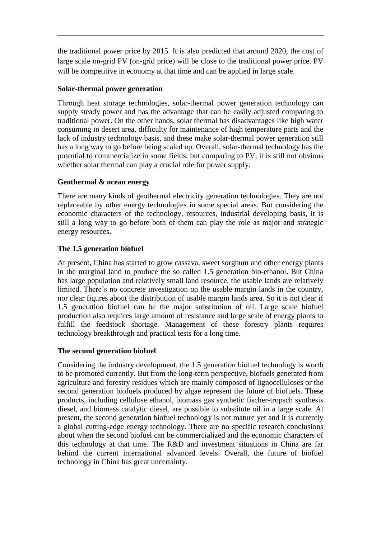the traditional power price by 2015. It is also predicted that around 2020, the cost of large scale on-grid PV (on-grid price) will be close to the traditional power price. PV will be competitive in economy at that time and can be applied in large scale.

#### **Solar-thermal power generation**

Through heat storage technologies, solar-thermal power generation technology can supply steady power and has the advantage that can be easily adjusted comparing to traditional power. On the other hands, solar thermal has disadvantages like high water consuming in desert area, difficulty for maintenance of high temperature parts and the lack of industry technology basis, and these make solar-thermal power generation still has a long way to go before being scaled up. Overall, solar-thermal technology has the potential to commercialize in some fields, but comparing to PV, it is still not obvious whether solar thermal can play a crucial role for power supply.

#### **Geothermal & ocean energy**

There are many kinds of geothermal electricity generation technologies. They are not replaceable by other energy technologies in some special areas. But considering the economic characters of the technology, resources, industrial developing basis, it is still a long way to go before both of them can play the role as major and strategic energy resources.

## **The 1.5 generation biofuel**

At present, China has started to grow cassava, sweet sorghum and other energy plants in the marginal land to produce the so called 1.5 generation bio-ethanol. But China has large population and relatively small land resource, the usable lands are relatively limited. There's no concrete investigation on the usable margin lands in the country, nor clear figures about the distribution of usable margin lands area. So it is not clear if 1.5 generation biofuel can be the major substitution of oil. Large scale biofuel production also requires large amount of resistance and large scale of energy plants to fulfill the feedstock shortage. Management of these forestry plants requires technology breakthrough and practical tests for a long time.

#### **The second generation biofuel**

Considering the industry development, the 1.5 generation biofuel technology is worth to be promoted currently. But from the long-term perspective, biofuels generated from agriculture and forestry residues which are mainly composed of lignocelluloses or the second generation biofuels produced by algae represent the future of biofuels. These products, including cellulose ethanol, biomass gas synthetic fischer-tropsch synthesis diesel, and biomass catalytic diesel, are possible to substitute oil in a large scale. At present, the second generation biofuel technology is not mature yet and it is currently a global cutting-edge energy technology. There are no specific research conclusions about when the second biofuel can be commercialized and the economic characters of this technology at that time. The R&D and investment situations in China are far behind the current international advanced levels. Overall, the future of biofuel technology in China has great uncertainty.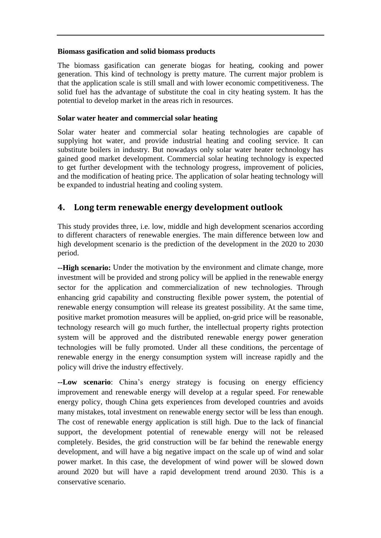#### **Biomass gasification and solid biomass products**

The biomass gasification can generate biogas for heating, cooking and power generation. This kind of technology is pretty mature. The current major problem is that the application scale is still small and with lower economic competitiveness. The solid fuel has the advantage of substitute the coal in city heating system. It has the potential to develop market in the areas rich in resources.

#### **Solar water heater and commercial solar heating**

Solar water heater and commercial solar heating technologies are capable of supplying hot water, and provide industrial heating and cooling service. It can substitute boilers in industry. But nowadays only solar water heater technology has gained good market development. Commercial solar heating technology is expected to get further development with the technology progress, improvement of policies, and the modification of heating price. The application of solar heating technology will be expanded to industrial heating and cooling system.

# **4. Long term renewable energy development outlook**

This study provides three, i.e. low, middle and high development scenarios according to different characters of renewable energies. The main difference between low and high development scenario is the prediction of the development in the 2020 to 2030 period.

**--High scenario:** Under the motivation by the environment and climate change, more investment will be provided and strong policy will be applied in the renewable energy sector for the application and commercialization of new technologies. Through enhancing grid capability and constructing flexible power system, the potential of renewable energy consumption will release its greatest possibility. At the same time, positive market promotion measures will be applied, on-grid price will be reasonable, technology research will go much further, the intellectual property rights protection system will be approved and the distributed renewable energy power generation technologies will be fully promoted. Under all these conditions, the percentage of renewable energy in the energy consumption system will increase rapidly and the policy will drive the industry effectively.

**--Low scenario**: China's energy strategy is focusing on energy efficiency improvement and renewable energy will develop at a regular speed. For renewable energy policy, though China gets experiences from developed countries and avoids many mistakes, total investment on renewable energy sector will be less than enough. The cost of renewable energy application is still high. Due to the lack of financial support, the development potential of renewable energy will not be released completely. Besides, the grid construction will be far behind the renewable energy development, and will have a big negative impact on the scale up of wind and solar power market. In this case, the development of wind power will be slowed down around 2020 but will have a rapid development trend around 2030. This is a conservative scenario.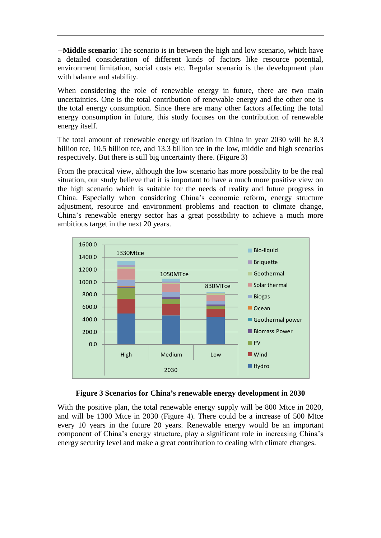--**Middle scenario**: The scenario is in between the high and low scenario, which have a detailed consideration of different kinds of factors like resource potential, environment limitation, social costs etc. Regular scenario is the development plan with balance and stability.

When considering the role of renewable energy in future, there are two main uncertainties. One is the total contribution of renewable energy and the other one is the total energy consumption. Since there are many other factors affecting the total energy consumption in future, this study focuses on the contribution of renewable energy itself.

The total amount of renewable energy utilization in China in year 2030 will be 8.3 billion tce, 10.5 billion tce, and 13.3 billion tce in the low, middle and high scenarios respectively. But there is still big uncertainty there. (Figure 3)

From the practical view, although the low scenario has more possibility to be the real situation, our study believe that it is important to have a much more positive view on the high scenario which is suitable for the needs of reality and future progress in China. Especially when considering China's economic reform, energy structure adjustment, resource and environment problems and reaction to climate change, China's renewable energy sector has a great possibility to achieve a much more ambitious target in the next 20 years.





With the positive plan, the total renewable energy supply will be 800 Mtce in 2020, and will be 1300 Mtce in 2030 (Figure 4). There could be a increase of 500 Mtce every 10 years in the future 20 years. Renewable energy would be an important component of China's energy structure, play a significant role in increasing China's energy security level and make a great contribution to dealing with climate changes.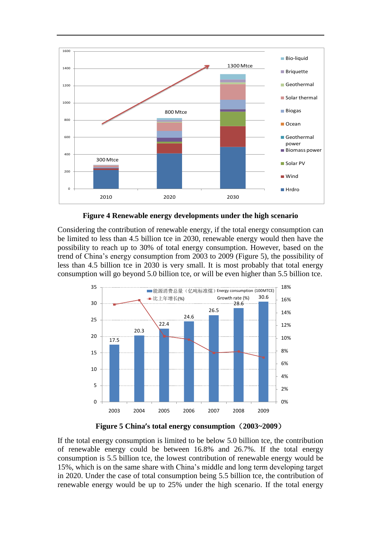

**Figure 4 Renewable energy developments under the high scenario**

Considering the contribution of renewable energy, if the total energy consumption can be limited to less than 4.5 billion tce in 2030, renewable energy would then have the possibility to reach up to 30% of total energy consumption. However, based on the trend of China's energy consumption from 2003 to 2009 (Figure 5), the possibility of less than 4.5 billion tce in 2030 is very small. It is most probably that total energy consumption will go beyond 5.0 billion tce, or will be even higher than 5.5 billion tce.



**Figure 5 China's total energy consumption**(**2003~2009**)

If the total energy consumption is limited to be below 5.0 billion tce, the contribution of renewable energy could be between 16.8% and 26.7%. If the total energy consumption is 5.5 billion tce, the lowest contribution of renewable energy would be 15%, which is on the same share with China's middle and long term developing target in 2020. Under the case of total consumption being 5.5 billion tce, the contribution of renewable energy would be up to 25% under the high scenario. If the total energy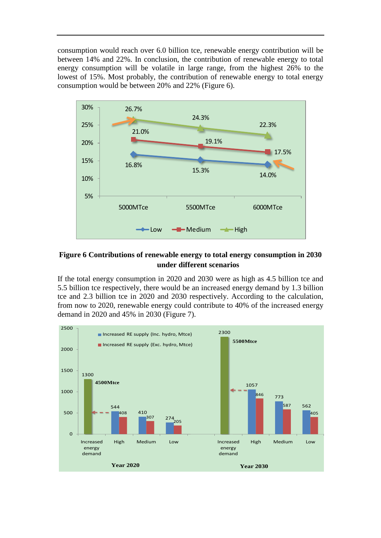consumption would reach over 6.0 billion tce, renewable energy contribution will be between 14% and 22%. In conclusion, the contribution of renewable energy to total energy consumption will be volatile in large range, from the highest 26% to the lowest of 15%. Most probably, the contribution of renewable energy to total energy consumption would be between 20% and 22% (Figure 6).



## **Figure 6 Contributions of renewable energy to total energy consumption in 2030 under different scenarios**

If the total energy consumption in 2020 and 2030 were as high as 4.5 billion tce and 5.5 billion tce respectively, there would be an increased energy demand by 1.3 billion tce and 2.3 billion tce in 2020 and 2030 respectively. According to the calculation, from now to 2020, renewable energy could contribute to 40% of the increased energy demand in 2020 and 45% in 2030 (Figure 7).

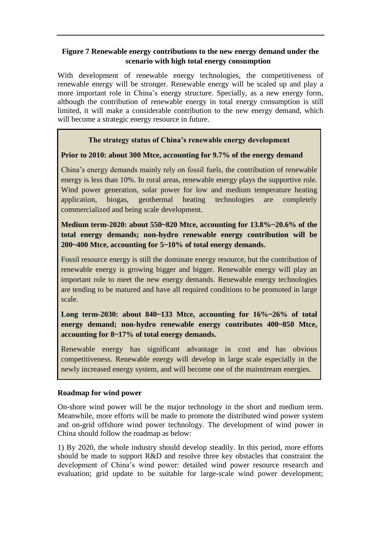# **Figure 7 Renewable energy contributions to the new energy demand under the scenario with high total energy consumption**

With development of renewable energy technologies, the competitiveness of renewable energy will be stronger. Renewable energy will be scaled up and play a more important role in China's energy structure. Specially, as a new energy form, although the contribution of renewable energy in total energy consumption is still limited, it will make a considerable contribution to the new energy demand, which will become a strategic energy resource in future.

# **The strategy status of China's renewable energy development**

# **Prior to 2010: about 300 Mtce, accounting for 9.7% of the energy demand**

China's energy demands mainly rely on fossil fuels, the contribution of renewable energy is less than 10%. In rural areas, renewable energy plays the supportive role. Wind power generation, solar power for low and medium temperature heating application, biogas, geothermal heating technologies are completely commercialized and being scale development.

# **Medium term-2020: about 550~820 Mtce, accounting for 13.8%~20.6% of the total energy demands; non-hydro renewable energy contribution will be 200~400 Mtce, accounting for 5~10% of total energy demands.**

Fossil resource energy is still the dominate energy resource, but the contribution of renewable energy is growing bigger and bigger. Renewable energy will play an important role to meet the new energy demands. Renewable energy technologies are tending to be matured and have all required conditions to be promoted in large scale.

# **Long term-2030: about 840~133 Mtce, accounting for 16%~26% of total energy demand; non-hydro renewable energy contributes 400~850 Mtce, accounting for 8~17% of total energy demands.**

Renewable energy has significant advantage in cost and has obvious competitiveness. Renewable energy will develop in large scale especially in the newly increased energy system, and will become one of the mainstream energies.

# **Roadmap for wind power**

On-shore wind power will be the major technology in the short and medium term. Meanwhile, more efforts will be made to promote the distributed wind power system and on-grid offshore wind power technology. The development of wind power in China should follow the roadmap as below:

1) By 2020, the whole industry should develop steadily. In this period, more efforts should be made to support R&D and resolve three key obstacles that constraint the development of China's wind power: detailed wind power resource research and evaluation; grid update to be suitable for large-scale wind power development;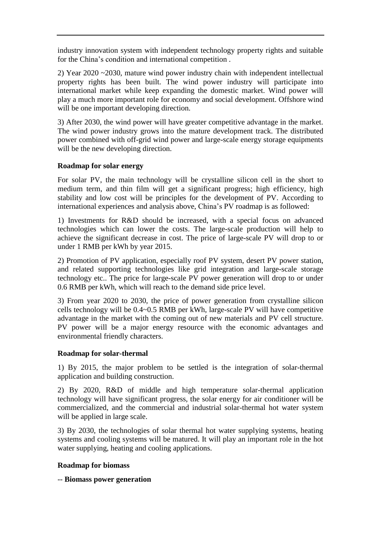industry innovation system with independent technology property rights and suitable for the China's condition and international competition .

2) Year 2020 ~2030, mature wind power industry chain with independent intellectual property rights has been built. The wind power industry will participate into international market while keep expanding the domestic market. Wind power will play a much more important role for economy and social development. Offshore wind will be one important developing direction.

3) After 2030, the wind power will have greater competitive advantage in the market. The wind power industry grows into the mature development track. The distributed power combined with off-grid wind power and large-scale energy storage equipments will be the new developing direction.

#### **Roadmap for solar energy**

For solar PV, the main technology will be crystalline silicon cell in the short to medium term, and thin film will get a significant progress; high efficiency, high stability and low cost will be principles for the development of PV. According to international experiences and analysis above, China's PV roadmap is as followed:

1) Investments for R&D should be increased, with a special focus on advanced technologies which can lower the costs. The large-scale production will help to achieve the significant decrease in cost. The price of large-scale PV will drop to or under 1 RMB per kWh by year 2015.

2) Promotion of PV application, especially roof PV system, desert PV power station, and related supporting technologies like grid integration and large-scale storage technology etc.. The price for large-scale PV power generation will drop to or under 0.6 RMB per kWh, which will reach to the demand side price level.

3) From year 2020 to 2030, the price of power generation from crystalline silicon cells technology will be 0.4~0.5 RMB per kWh, large-scale PV will have competitive advantage in the market with the coming out of new materials and PV cell structure. PV power will be a major energy resource with the economic advantages and environmental friendly characters.

#### **Roadmap for solar-thermal**

1) By 2015, the major problem to be settled is the integration of solar-thermal application and building construction.

2) By 2020, R&D of middle and high temperature solar-thermal application technology will have significant progress, the solar energy for air conditioner will be commercialized, and the commercial and industrial solar-thermal hot water system will be applied in large scale.

3) By 2030, the technologies of solar thermal hot water supplying systems, heating systems and cooling systems will be matured. It will play an important role in the hot water supplying, heating and cooling applications.

#### **Roadmap for biomass**

-- **Biomass power generation**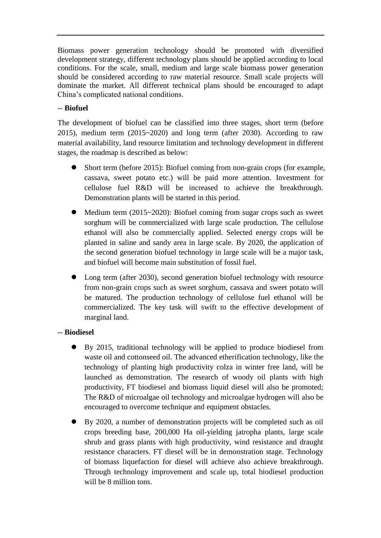Biomass power generation technology should be promoted with diversified development strategy, different technology plans should be applied according to local conditions. For the scale, small, medium and large scale biomass power generation should be considered according to raw material resource. Small scale projects will dominate the market. All different technical plans should be encouraged to adapt China's complicated national conditions.

## -- **Biofuel**

The development of biofuel can be classified into three stages, short term (before 2015), medium term (2015~2020) and long term (after 2030). According to raw material availability, land resource limitation and technology development in different stages, the roadmap is described as below:

- Short term (before 2015): Biofuel coming from non-grain crops (for example, cassava, sweet potato etc.) will be paid more attention. Investment for cellulose fuel R&D will be increased to achieve the breakthrough. Demonstration plants will be started in this period.
- Medium term (2015~2020): Biofuel coming from sugar crops such as sweet sorghum will be commercialized with large scale production. The cellulose ethanol will also be commercially applied. Selected energy crops will be planted in saline and sandy area in large scale. By 2020, the application of the second generation biofuel technology in large scale will be a major task, and biofuel will become main substitution of fossil fuel.
- Long term (after 2030), second generation biofuel technology with resource from non-grain crops such as sweet sorghum, cassava and sweet potato will be matured. The production technology of cellulose fuel ethanol will be commercialized. The key task will swift to the effective development of marginal land.

# -- **Biodiesel**

- By 2015, traditional technology will be applied to produce biodiesel from waste oil and cottonseed oil. The advanced etherification technology, like the technology of planting high productivity colza in winter free land, will be launched as demonstration. The research of woody oil plants with high productivity, FT biodiesel and biomass liquid diesel will also be promoted; The R&D of microalgae oil technology and microalgae hydrogen will also be encouraged to overcome technique and equipment obstacles.
- By 2020, a number of demonstration projects will be completed such as oil crops breeding base, 200,000 Ha oil-yielding jatropha plants, large scale shrub and grass plants with high productivity, wind resistance and draught resistance characters. FT diesel will be in demonstration stage. Technology of biomass liquefaction for diesel will achieve also achieve breakthrough. Through technology improvement and scale up, total biodiesel production will be 8 million tons.